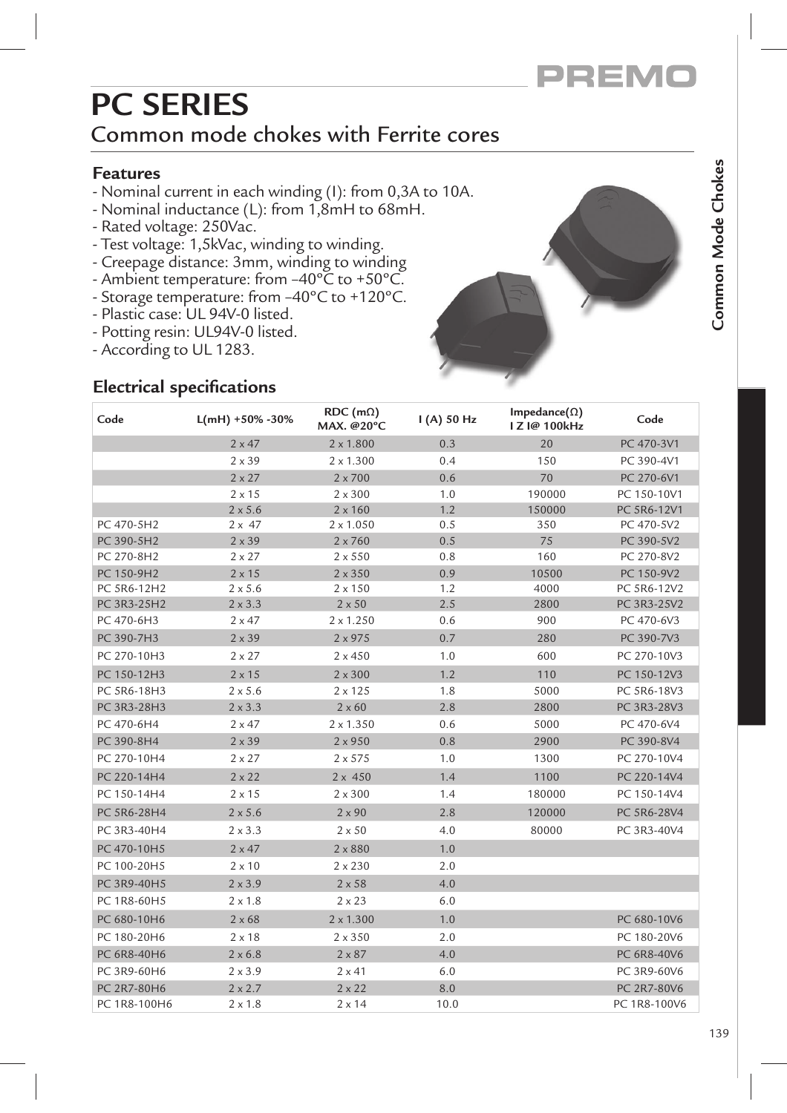

# **PC SERIES**

### Common mode chokes with Ferrite cores

#### **Features**

- Nominal current in each winding (I): from 0,3A to 10A.
- Nominal inductance (L): from 1,8mH to 68mH.
- Rated voltage: 250Vac.
- Test voltage: 1,5kVac, winding to winding.
- Creepage distance: 3mm, winding to winding.
- Ambient temperature: from  $-40^{\circ}$ C to  $+50^{\circ}$ C.
- Storage temperature: from -40°C to +120°C.
- Plastic case: UL 94V-0 listed.
- Potting resin: UL94V-0 listed.
- According to UL 1283.

### **Electrical specifications**



| Code         | $L(mH) + 50\% - 30\%$ | $RDC$ (m $\Omega$ )<br>MAX. @20°C | $I(A)$ 50 Hz | Impedance( $\Omega$ )<br>I Z I@ 100kHz | Code         |
|--------------|-----------------------|-----------------------------------|--------------|----------------------------------------|--------------|
|              | $2 \times 47$         | $2 \times 1.800$                  | 0.3          | 20                                     | PC 470-3V1   |
|              | $2 \times 39$         | $2 \times 1.300$                  | 0.4          | 150                                    | PC 390-4V1   |
|              | $2 \times 27$         | $2 \times 700$                    | 0.6          | 70                                     | PC 270-6V1   |
|              | $2 \times 15$         | $2 \times 300$                    | 1.0          | 190000                                 | PC 150-10V1  |
|              | $2 \times 5.6$        | $2 \times 160$                    | 1.2          | 150000                                 | PC 5R6-12V1  |
| PC 470-5H2   | $2 \times 47$         | $2 \times 1.050$                  | 0.5          | 350                                    | PC 470-5V2   |
| PC 390-5H2   | $2 \times 39$         | $2 \times 760$                    | 0.5          | 75                                     | PC 390-5V2   |
| PC 270-8H2   | $2 \times 27$         | $2 \times 550$                    | 0.8          | 160                                    | PC 270-8V2   |
| PC 150-9H2   | $2 \times 15$         | $2 \times 350$                    | 0.9          | 10500                                  | PC 150-9V2   |
| PC 5R6-12H2  | $2 \times 5.6$        | $2 \times 150$                    | 1.2          | 4000                                   | PC 5R6-12V2  |
| PC 3R3-25H2  | $2 \times 3.3$        | $2 \times 50$                     | 2.5          | 2800                                   | PC 3R3-25V2  |
| PC 470-6H3   | $2 \times 47$         | $2 \times 1.250$                  | 0.6          | 900                                    | PC 470-6V3   |
| PC 390-7H3   | $2 \times 39$         | 2 x 975                           | 0.7          | 280                                    | PC 390-7V3   |
| PC 270-10H3  | $2 \times 27$         | $2 \times 450$                    | 1.0          | 600                                    | PC 270-10V3  |
| PC 150-12H3  | $2 \times 15$         | $2 \times 300$                    | 1.2          | 110                                    | PC 150-12V3  |
| PC 5R6-18H3  | $2 \times 5.6$        | $2 \times 125$                    | 1.8          | 5000                                   | PC 5R6-18V3  |
| PC 3R3-28H3  | $2 \times 3.3$        | $2 \times 60$                     | 2.8          | 2800                                   | PC 3R3-28V3  |
| PC 470-6H4   | $2 \times 47$         | $2 \times 1.350$                  | 0.6          | 5000                                   | PC 470-6V4   |
| PC 390-8H4   | $2 \times 39$         | 2 x 950                           | 0.8          | 2900                                   | PC 390-8V4   |
| PC 270-10H4  | $2 \times 27$         | 2 × 575                           | 1.0          | 1300                                   | PC 270-10V4  |
| PC 220-14H4  | $2 \times 22$         | $2 \times 450$                    | 1.4          | 1100                                   | PC 220-14V4  |
| PC 150-14H4  | $2 \times 15$         | $2 \times 300$                    | 1.4          | 180000                                 | PC 150-14V4  |
| PC 5R6-28H4  | $2 \times 5.6$        | $2 \times 90$                     | 2.8          | 120000                                 | PC 5R6-28V4  |
| PC 3R3-40H4  | $2 \times 3.3$        | $2 \times 50$                     | 4.0          | 80000                                  | PC 3R3-40V4  |
| PC 470-10H5  | $2 \times 47$         | $2 \times 880$                    | 1.0          |                                        |              |
| PC 100-20H5  | $2\times10$           | $2 \times 230$                    | 2.0          |                                        |              |
| PC 3R9-40H5  | $2 \times 3.9$        | $2 \times 58$                     | 4.0          |                                        |              |
| PC 1R8-60H5  | $2 \times 1.8$        | $2 \times 23$                     | 6.0          |                                        |              |
| PC 680-10H6  | $2 \times 68$         | $2 \times 1.300$                  | 1.0          |                                        | PC 680-10V6  |
| PC 180-20H6  | $2 \times 18$         | $2 \times 350$                    | 2.0          |                                        | PC 180-20V6  |
| PC 6R8-40H6  | $2 \times 6.8$        | $2 \times 87$                     | 4.0          |                                        | PC 6R8-40V6  |
| PC 3R9-60H6  | $2 \times 3.9$        | $2 \times 41$                     | 6.0          |                                        | PC 3R9-60V6  |
| PC 2R7-80H6  | $2 \times 2.7$        | $2 \times 22$                     | 8.0          |                                        | PC 2R7-80V6  |
| PC 1R8-100H6 | 2 x 1.8               | $2 \times 14$                     | 10.0         |                                        | PC 1R8-100V6 |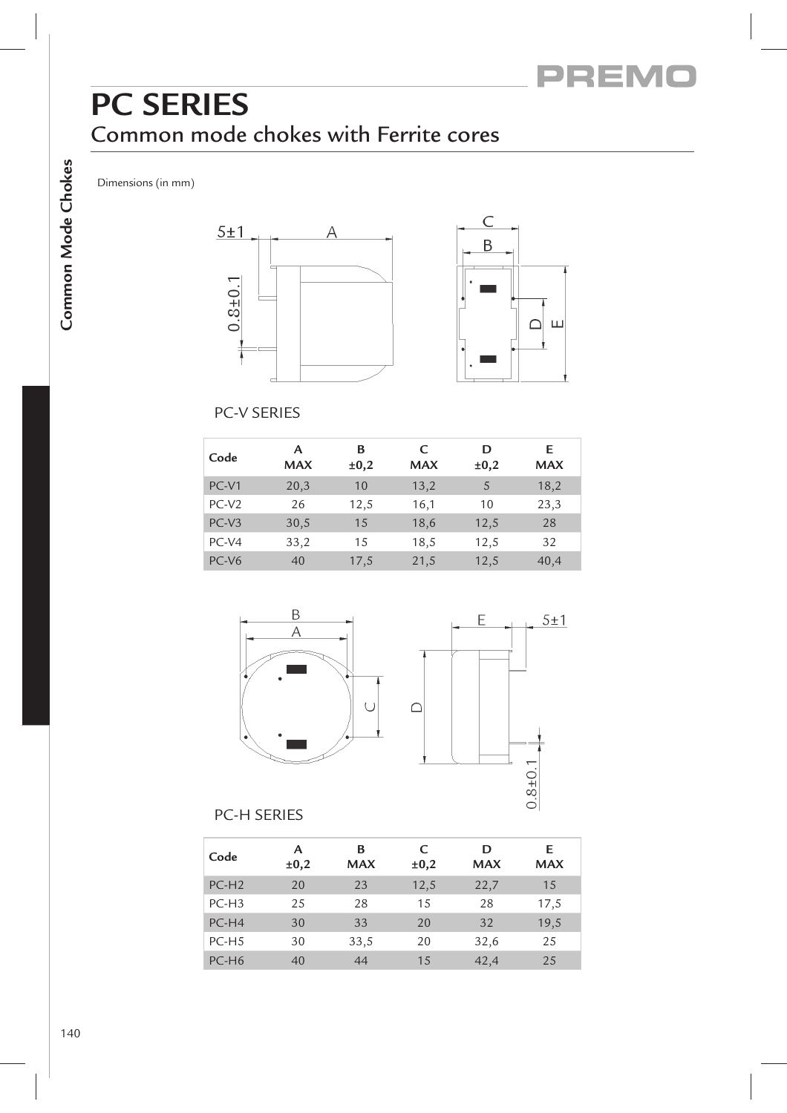# **PC SERIES** Common mode chokes with Ferrite cores

Dimensions (in mm)





### PC-V SERIES

| Code              | А<br><b>MAX</b> | в<br>$\pm 0,2$ | C<br><b>MAX</b> | D<br>±0,2 | E<br><b>MAX</b> |
|-------------------|-----------------|----------------|-----------------|-----------|-----------------|
| PC-V1             | 20,3            | 10             | 13,2            | 5         | 18,2            |
| $PC-V2$           | 26              | 12,5           | 16,1            | 10        | 23,3            |
| $PC-V3$           | 30,5            | 15             | 18,6            | 12,5      | 28              |
| $PC-V4$           | 33,2            | 15             | 18,5            | 12,5      | 32              |
| PC-V <sub>6</sub> | 40              | 17,5           | 21,5            | 12,5      | 40,4            |





#### PC-H SERIES

| Code    | А<br>$\pm 0,2$ | в<br><b>MAX</b> | C<br>$\pm 0,2$ | D<br><b>MAX</b> | E.<br><b>MAX</b> |
|---------|----------------|-----------------|----------------|-----------------|------------------|
| $PC-H2$ | 20             | 23              | 12,5           | 22,7            | 15               |
| $PC-H3$ | 25             | 28              | 15             | 28              | 17,5             |
| $PC-H4$ | 30             | 33              | 20             | 32              | 19,5             |
| $PC-H5$ | 30             | 33,5            | 20             | 32,6            | 25               |
| $PC-H6$ | 40             | 44              | 15             | 42,4            | 25               |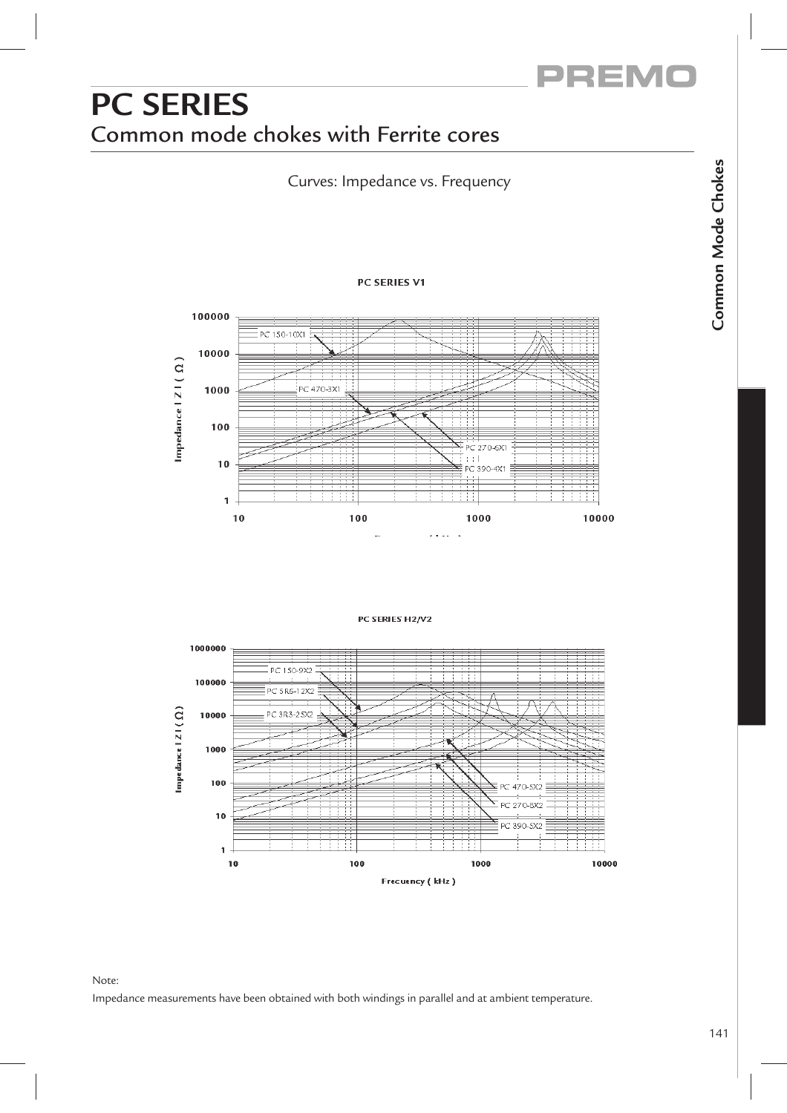

# **PC SERIES** Common mode chokes with Ferrite cores

Curves: Impedance vs. Frequency

#### PC SERIES V1



#### PC SERIES H2/V2



#### Note:

Impedance measurements have been obtained with both windings in parallel and at ambient temperature.